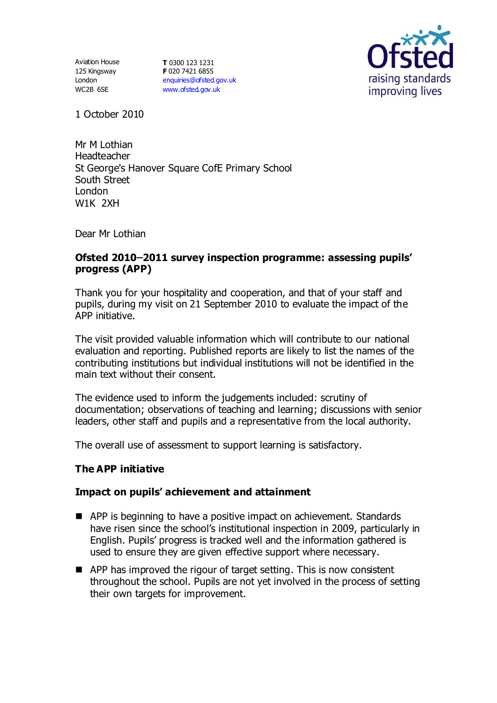Aviation House 125 Kingsway London WC2B 6SE

**T** 0300 123 1231 **F** 020 7421 6855 [enquiries@ofsted.gov.uk](mailto:enquiries@ofsted.gov.uk) [www.ofsted.gov.uk](http://www.ofsted.gov.uk/)



1 October 2010

Mr M Lothian Headteacher St George's Hanover Square CofE Primary School South Street London W1K 2XH

Dear Mr Lothian

## **Ofsted 2010 2011 survey inspection programme: assessing pupils' progress (APP)**

Thank you for your hospitality and cooperation, and that of your staff and pupils, during my visit on 21 September 2010 to evaluate the impact of the APP initiative.

The visit provided valuable information which will contribute to our national evaluation and reporting. Published reports are likely to list the names of the contributing institutions but individual institutions will not be identified in the main text without their consent.

The evidence used to inform the judgements included: scrutiny of documentation; observations of teaching and learning; discussions with senior leaders, other staff and pupils and a representative from the local authority.

The overall use of assessment to support learning is satisfactory.

## **The APP initiative**

## **Impact on pupils' achievement and attainment**

- APP is beginning to have a positive impact on achievement. Standards have risen since the school's institutional inspection in 2009, particularly in English. Pupils' progress is tracked well and the information gathered is used to ensure they are given effective support where necessary.
- APP has improved the rigour of target setting. This is now consistent throughout the school. Pupils are not yet involved in the process of setting their own targets for improvement.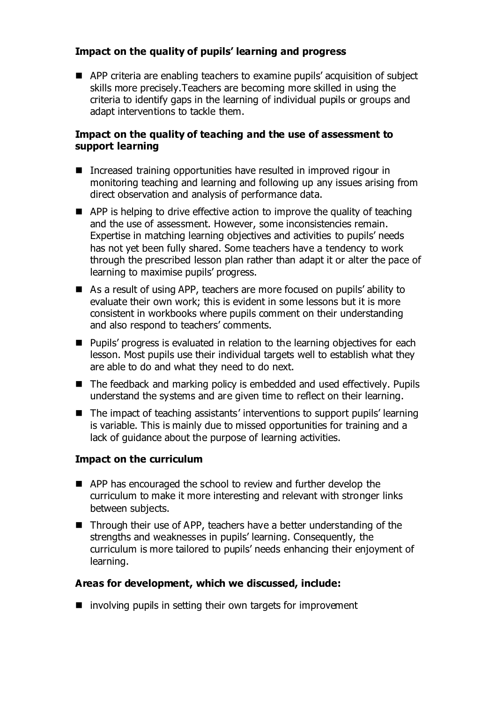# **Impact on the quality of pupils' learning and progress**

APP criteria are enabling teachers to examine pupils' acquisition of subject skills more precisely.Teachers are becoming more skilled in using the criteria to identify gaps in the learning of individual pupils or groups and adapt interventions to tackle them.

## **Impact on the quality of teaching and the use of assessment to support learning**

- Increased training opportunities have resulted in improved rigour in monitoring teaching and learning and following up any issues arising from direct observation and analysis of performance data.
- APP is helping to drive effective action to improve the quality of teaching and the use of assessment. However, some inconsistencies remain. Expertise in matching learning objectives and activities to pupils' needs has not yet been fully shared. Some teachers have a tendency to work through the prescribed lesson plan rather than adapt it or alter the pace of learning to maximise pupils' progress.
- As a result of using APP, teachers are more focused on pupils' ability to evaluate their own work; this is evident in some lessons but it is more consistent in workbooks where pupils comment on their understanding and also respond to teachers' comments.
- **Pupils' progress is evaluated in relation to the learning objectives for each** lesson. Most pupils use their individual targets well to establish what they are able to do and what they need to do next.
- The feedback and marking policy is embedded and used effectively. Pupils understand the systems and are given time to reflect on their learning.
- The impact of teaching assistants' interventions to support pupils' learning is variable. This is mainly due to missed opportunities for training and a lack of guidance about the purpose of learning activities.

## **Impact on the curriculum**

- APP has encouraged the school to review and further develop the curriculum to make it more interesting and relevant with stronger links between subjects.
- Through their use of APP, teachers have a better understanding of the strengths and weaknesses in pupils' learning. Consequently, the curriculum is more tailored to pupils' needs enhancing their enjoyment of learning.

## **Areas for development, which we discussed, include:**

 $\blacksquare$  involving pupils in setting their own targets for improvement